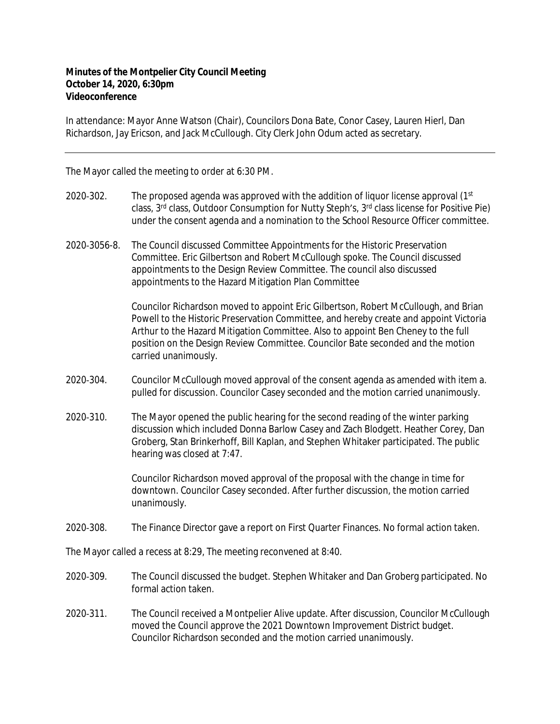## **Minutes of the Montpelier City Council Meeting October 14, 2020, 6:30pm Videoconference**

In attendance: Mayor Anne Watson (Chair), Councilors Dona Bate, Conor Casey, Lauren Hierl, Dan Richardson, Jay Ericson, and Jack McCullough. City Clerk John Odum acted as secretary.

The Mayor called the meeting to order at 6:30 PM.

- 2020-302. The proposed agenda was approved with the addition of liquor license approval ( $1<sup>st</sup>$ class, 3<sup>rd</sup> class, Outdoor Consumption for Nutty Steph's, 3<sup>rd</sup> class license for Positive Pie) under the consent agenda and a nomination to the School Resource Officer committee.
- 2020‐3056-8. The Council discussed Committee Appointments for the Historic Preservation Committee. Eric Gilbertson and Robert McCullough spoke. The Council discussed appointments to the Design Review Committee. The council also discussed appointments to the Hazard Mitigation Plan Committee

Councilor Richardson moved to appoint Eric Gilbertson, Robert McCullough, and Brian Powell to the Historic Preservation Committee, and hereby create and appoint Victoria Arthur to the Hazard Mitigation Committee. Also to appoint Ben Cheney to the full position on the Design Review Committee. Councilor Bate seconded and the motion carried unanimously.

- 2020‐304. Councilor McCullough moved approval of the consent agenda as amended with item a. pulled for discussion. Councilor Casey seconded and the motion carried unanimously.
- 2020‐310. The Mayor opened the public hearing for the second reading of the winter parking discussion which included Donna Barlow Casey and Zach Blodgett. Heather Corey, Dan Groberg, Stan Brinkerhoff, Bill Kaplan, and Stephen Whitaker participated. The public hearing was closed at 7:47.

Councilor Richardson moved approval of the proposal with the change in time for downtown. Councilor Casey seconded. After further discussion, the motion carried unanimously.

2020‐308. The Finance Director gave a report on First Quarter Finances. No formal action taken.

The Mayor called a recess at 8:29, The meeting reconvened at 8:40.

- 2020‐309. The Council discussed the budget. Stephen Whitaker and Dan Groberg participated. No formal action taken.
- 2020‐311. The Council received a Montpelier Alive update. After discussion, Councilor McCullough moved the Council approve the 2021 Downtown Improvement District budget. Councilor Richardson seconded and the motion carried unanimously.